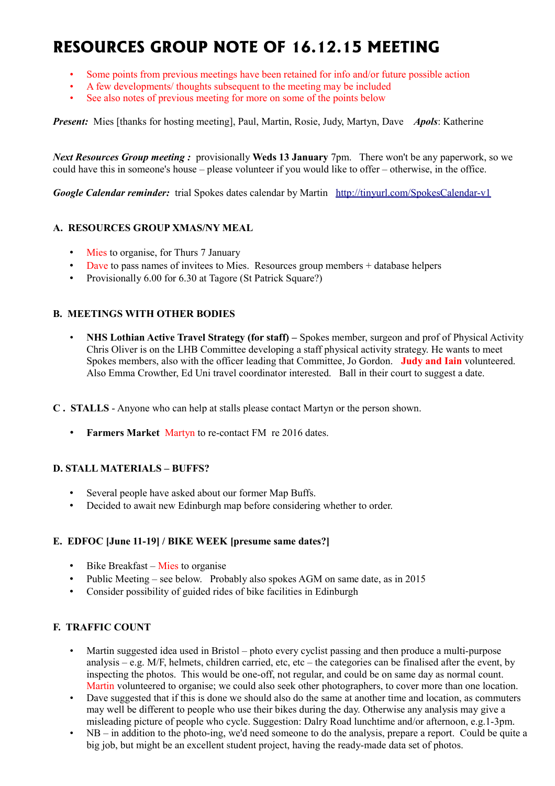# **RESOURCES GROUP NOTE OF 16.12.15 MEETING**

- Some points from previous meetings have been retained for info and/or future possible action
- A few developments/ thoughts subsequent to the meeting may be included
- See also notes of previous meeting for more on some of the points below

*Present:* Mies [thanks for hosting meeting], Paul, Martin, Rosie, Judy, Martyn, Dave *Apols*: Katherine

*Next Resources Group meeting :* provisionally **Weds 13 January** 7pm. There won't be any paperwork, so we could have this in someone's house – please volunteer if you would like to offer – otherwise, in the office.

*Google Calendar reminder:* trial Spokes dates calendar by Martin <http://tinyurl.com/SpokesCalendar-v1>

### **A. RESOURCES GROUP XMAS/NY MEAL**

- Mies to organise, for Thurs 7 January
- Dave to pass names of invitees to Mies. Resources group members + database helpers
- Provisionally 6.00 for 6.30 at Tagore (St Patrick Square?)

### **B. MEETINGS WITH OTHER BODIES**

- **NHS Lothian Active Travel Strategy (for staff)** Spokes member, surgeon and prof of Physical Activity Chris Oliver is on the LHB Committee developing a staff physical activity strategy. He wants to meet Spokes members, also with the officer leading that Committee, Jo Gordon. **Judy and Iain** volunteered. Also Emma Crowther, Ed Uni travel coordinator interested. Ball in their court to suggest a date.
- **C . STALLS** Anyone who can help at stalls please contact Martyn or the person shown.
	- **Farmers Market** Martyn to re-contact FM re 2016 dates.

### **D. STALL MATERIALS – BUFFS?**

- Several people have asked about our former Map Buffs.
- Decided to await new Edinburgh map before considering whether to order.

### **E. EDFOC [June 11-19] / BIKE WEEK [presume same dates?]**

- Bike Breakfast Mies to organise
- Public Meeting see below. Probably also spokes AGM on same date, as in 2015
- Consider possibility of guided rides of bike facilities in Edinburgh

### **F. TRAFFIC COUNT**

- Martin suggested idea used in Bristol photo every cyclist passing and then produce a multi-purpose analysis – e.g. M/F, helmets, children carried, etc, etc – the categories can be finalised after the event, by inspecting the photos. This would be one-off, not regular, and could be on same day as normal count. Martin volunteered to organise; we could also seek other photographers, to cover more than one location.
- Dave suggested that if this is done we should also do the same at another time and location, as commuters may well be different to people who use their bikes during the day. Otherwise any analysis may give a misleading picture of people who cycle. Suggestion: Dalry Road lunchtime and/or afternoon, e.g.1-3pm.
- NB in addition to the photo-ing, we'd need someone to do the analysis, prepare a report. Could be quite a big job, but might be an excellent student project, having the ready-made data set of photos.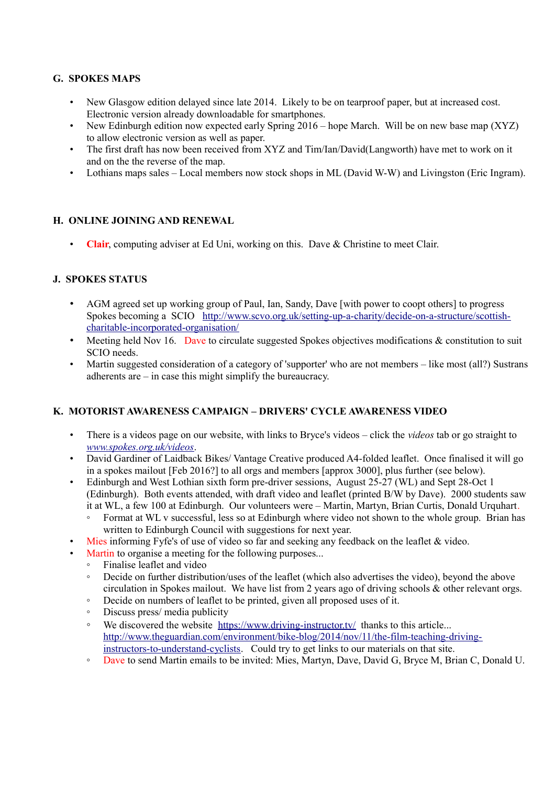## **G. SPOKES MAPS**

- New Glasgow edition delayed since late 2014. Likely to be on tearproof paper, but at increased cost. Electronic version already downloadable for smartphones.
- New Edinburgh edition now expected early Spring 2016 hope March. Will be on new base map (XYZ) to allow electronic version as well as paper.
- The first draft has now been received from XYZ and Tim/Ian/David(Langworth) have met to work on it and on the the reverse of the map.
- Lothians maps sales Local members now stock shops in ML (David W-W) and Livingston (Eric Ingram).

### **H. ONLINE JOINING AND RENEWAL**

• **Clair**, computing adviser at Ed Uni, working on this. Dave & Christine to meet Clair.

### **J. SPOKES STATUS**

- AGM agreed set up working group of Paul, Ian, Sandy, Dave [with power to coopt others] to progress Spokes becoming a SCIO [http://www.scvo.org.uk/setting-up-a-charity/decide-on-a-structure/scottish](http://www.scvo.org.uk/setting-up-a-charity/decide-on-a-structure/scottish-charitable-incorporated-organisation/)[charitable-incorporated-organisation/](http://www.scvo.org.uk/setting-up-a-charity/decide-on-a-structure/scottish-charitable-incorporated-organisation/)
- Meeting held Nov 16. Dave to circulate suggested Spokes objectives modifications & constitution to suit SCIO needs.
- Martin suggested consideration of a category of 'supporter' who are not members like most (all?) Sustrans adherents are – in case this might simplify the bureaucracy.

### **K. MOTORIST AWARENESS CAMPAIGN – DRIVERS' CYCLE AWARENESS VIDEO**

- There is a videos page on our website, with links to Bryce's videos click the *videos* tab or go straight to *[www.spokes.org.uk/videos](http://www.spokes.org.uk/videos)*.
- David Gardiner of Laidback Bikes/ Vantage Creative produced A4-folded leaflet. Once finalised it will go in a spokes mailout [Feb 2016?] to all orgs and members [approx 3000], plus further (see below).
- Edinburgh and West Lothian sixth form pre-driver sessions, August 25-27 (WL) and Sept 28-Oct 1 (Edinburgh). Both events attended, with draft video and leaflet (printed B/W by Dave). 2000 students saw it at WL, a few 100 at Edinburgh. Our volunteers were – Martin, Martyn, Brian Curtis, Donald Urquhart.
	- Format at WL v successful, less so at Edinburgh where video not shown to the whole group. Brian has written to Edinburgh Council with suggestions for next year.
- Mies informing Fyfe's of use of video so far and seeking any feedback on the leaflet & video.
	- Martin to organise a meeting for the following purposes...
		- Finalise leaflet and video
		- Decide on further distribution/uses of the leaflet (which also advertises the video), beyond the above circulation in Spokes mailout. We have list from 2 years ago of driving schools & other relevant orgs.
		- Decide on numbers of leaflet to be printed, given all proposed uses of it.
		- Discuss press/ media publicity
		- We discovered the website <https://www.driving-instructor.tv/>thanks to this article... [http://www.theguardian.com/environment/bike-blog/2014/nov/11/the-film-teaching-driving](http://www.theguardian.com/environment/bike-blog/2014/nov/11/the-film-teaching-driving-instructors-to-understand-cyclists)[instructors-to-understand-cyclists.](http://www.theguardian.com/environment/bike-blog/2014/nov/11/the-film-teaching-driving-instructors-to-understand-cyclists) Could try to get links to our materials on that site.
		- Dave to send Martin emails to be invited: Mies, Martyn, Dave, David G, Bryce M, Brian C, Donald U.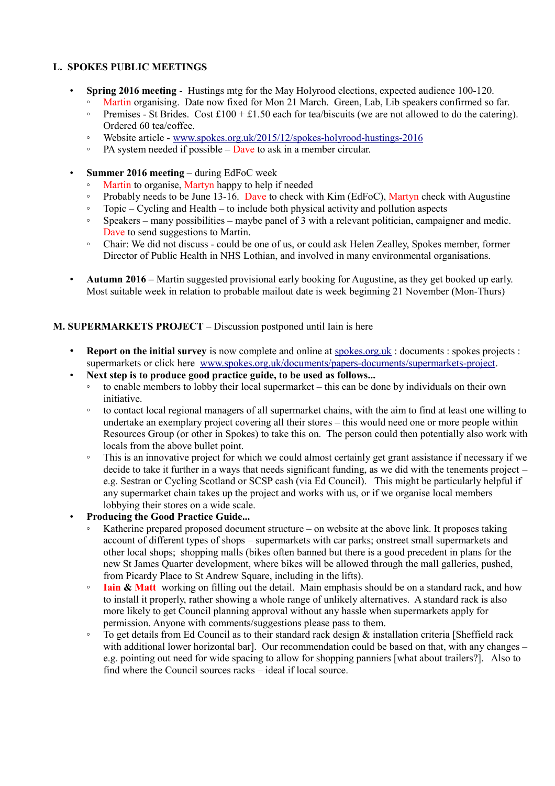### **L. SPOKES PUBLIC MEETINGS**

- **Spring 2016 meeting** Hustings mtg for the May Holyrood elections, expected audience 100-120.
	- Martin organising. Date now fixed for Mon 21 March. Green, Lab, Lib speakers confirmed so far. • Premises - St Brides. Cost £100 + £1.50 each for tea/biscuits (we are not allowed to do the catering).
	- Ordered 60 tea/coffee.
	- Website article - [www.spokes.org.uk/2015/12/spokes-holyrood-hustings-2016](http://www.spokes.org.uk/2015/12/spokes-holyrood-hustings-2016)
	- PA system needed if possible Dave to ask in a member circular.
- **Summer 2016 meeting** during EdFoC week
	- Martin to organise, Martyn happy to help if needed
	- Probably needs to be June 13-16. Dave to check with Kim (EdFoC), Martyn check with Augustine
	- Topic Cycling and Health to include both physical activity and pollution aspects
	- Speakers many possibilities maybe panel of 3 with a relevant politician, campaigner and medic. Dave to send suggestions to Martin.
	- Chair: We did not discuss could be one of us, or could ask Helen Zealley, Spokes member, former Director of Public Health in NHS Lothian, and involved in many environmental organisations.
- **Autumn 2016 –** Martin suggested provisional early booking for Augustine, as they get booked up early. Most suitable week in relation to probable mailout date is week beginning 21 November (Mon-Thurs)

### **M. SUPERMARKETS PROJECT** – Discussion postponed until Iain is here

- **Report on the initial survey** is now complete and online at spokes.org.uk: documents : spokes projects : supermarkets or click here [www.spokes.org.uk/documents/papers-documents/supermarkets-project.](http://www.spokes.org.uk/documents/papers-documents/supermarkets-project/)
- **Next step is to produce good practice guide, to be used as follows...**
	- to enable members to lobby their local supermarket this can be done by individuals on their own initiative.
	- to contact local regional managers of all supermarket chains, with the aim to find at least one willing to undertake an exemplary project covering all their stores – this would need one or more people within Resources Group (or other in Spokes) to take this on. The person could then potentially also work with locals from the above bullet point.
	- This is an innovative project for which we could almost certainly get grant assistance if necessary if we decide to take it further in a ways that needs significant funding, as we did with the tenements project – e.g. Sestran or Cycling Scotland or SCSP cash (via Ed Council). This might be particularly helpful if any supermarket chain takes up the project and works with us, or if we organise local members lobbying their stores on a wide scale.
- **Producing the Good Practice Guide...**
	- Katherine prepared proposed document structure on website at the above link. It proposes taking account of different types of shops – supermarkets with car parks; onstreet small supermarkets and other local shops; shopping malls (bikes often banned but there is a good precedent in plans for the new St James Quarter development, where bikes will be allowed through the mall galleries, pushed, from Picardy Place to St Andrew Square, including in the lifts).
	- **Iain & Matt** working on filling out the detail. Main emphasis should be on a standard rack, and how to install it properly, rather showing a whole range of unlikely alternatives. A standard rack is also more likely to get Council planning approval without any hassle when supermarkets apply for permission. Anyone with comments/suggestions please pass to them.
	- To get details from Ed Council as to their standard rack design & installation criteria [Sheffield rack with additional lower horizontal bar]. Our recommendation could be based on that, with any changes – e.g. pointing out need for wide spacing to allow for shopping panniers [what about trailers?]. Also to find where the Council sources racks – ideal if local source.